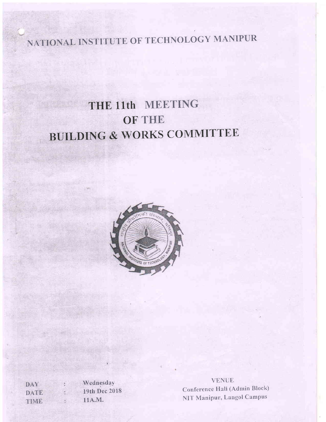NATIONAL INSTITUTE OF TECHNOLOGY MANIPUR

# THE 11th MEETING OF THE BUILDING & WORKS COMMITTEE



Wednesday DAY k. 19th Dec 2018 **DATE** 11A.M. TIME :  $\overline{\phantom{a}}$ 

**VENUE** Conference Hali (Admin Block) NIT Manipur, Langol Campus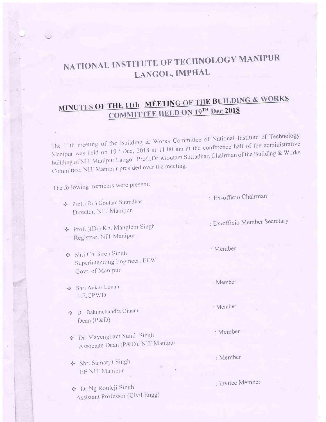## NATIONAL INSTITUTE OF TECHNOLOGY MANIPUR LANGOL, IMPHAL

### MINUTES OF THE 11th MEETING OF THE BUILDING & WORKS **COMMITTEE HELD ON 19TH Dec 2018**

The 11th meeting of the Building & Works Committee of National Institute of Technology Manipur was held on 19<sup>th</sup> Dec, 2018 at 11:00 am at the conference hall of the administrative building of NIT Manipur Langol. Prof.(Dr.)Goutam Sutradhar, Chairman of the Building & Works Committee, NIT Manipur presided over the meeting.

The following members were present:

- Prof. (Dr.) Goutam Sutradhar Director, NIT Manipur
- Prof. )(Dr) Kh. Manglem Singh Registrar, NIT Manipur
- Shri Ch Biren Singh Superintending Engineer, EEW Govt. of Manipur
- Shri Ankur Lohan **EE.CPWD**
- Dr. Bakimchandra Oinam Dean  $(P&D)$
- ❖ Dr. Mayengbam Sunil Singh Associate Dean (P&D), NIT Manipur

Shri Samarjit Singh **EE NIT Manipur** 

Dr Ng Romeji Singh Assistant Professor (Civil Engg) : Ex-officio Chairman

: Ex-officio Member Secretary

· Member

: Member

: Member

: Member

: Member

: Invitee Member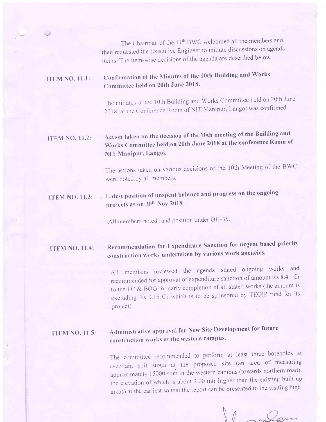The Chairman of the 11<sup>th</sup> BWC welcomed all the members and then requested the Executive Engineer to initiate discussions on agenda items. The item-wise decisions of the agenda are described below

#### ll'EM NO. I l.l: confirmation of the Minutes of the 1Oth Building and works Committee held on 20th June 2018'

The minutes of the 10th Building and Works Committee held on 20th June 2018. at the Conference Room of NIT Manipur, Langol was confirmed.

### l'rEM NO. 11.2: Action taken on the decision of the 1Oth meeting of the Building and Works Committee held.on 20th June 2018 at the conference Room of NIT Manipur, Langol.

The actions taken on various decisions of the 1Oth Meeting of the BWC were noted by all members.

### ITEM NO. 11.3: Latest position of unspent balance and progress on the ongoing projects as on 30<sup>th</sup> Nov 2018

All members noted fund position under OH-35.

#### **ITEM NO. 11.4:** Recommendation for Expenditure Sanction for urgent based priority construction works undertaken by various work agencies'

AII members reviewed the agenda stated ongoing works and recommended for approval of expenditure sanction of amount Rs 8.41 Cr to the FC & BOG for early completion of all stated works (the amount is excluding Rs 0.15 Cr which is to be sponsored by TEQIP fund for its project)

#### ITEM NO. II.5: Administrative approval for New Site Development for future construction works at the western campus.

The committee recommended to perform at least three boreholes to ascertain soil strata at the proposed site (an area of measuring approximately  $15000$  sqm in the western campus (towards northern road), the elevation of which is about 2.00 mtr higher than the existing built up areas) at the earliest so that the report can be presented to the visiting high

 $\lambda$   $\ell$